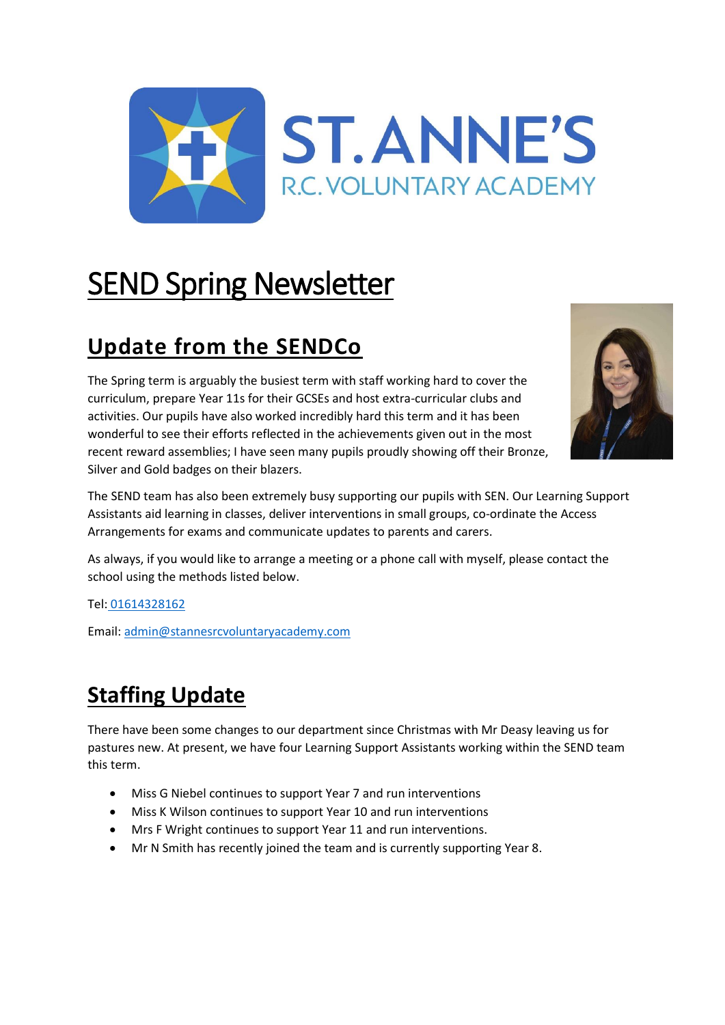

# SEND Spring Newsletter

# **Update from the SENDCo**

The Spring term is arguably the busiest term with staff working hard to cover the curriculum, prepare Year 11s for their GCSEs and host extra-curricular clubs and activities. Our pupils have also worked incredibly hard this term and it has been wonderful to see their efforts reflected in the achievements given out in the most recent reward assemblies; I have seen many pupils proudly showing off their Bronze, Silver and Gold badges on their blazers.



The SEND team has also been extremely busy supporting our pupils with SEN. Our Learning Support Assistants aid learning in classes, deliver interventions in small groups, co-ordinate the Access Arrangements for exams and communicate updates to parents and carers.

As always, if you would like to arrange a meeting or a phone call with myself, please contact the school using the methods listed below.

Tel: [01614328162](tel:01614328162)

Email: [admin@stannesrcvoluntaryacademy.com](mailto:admin@stannesrcvoluntaryacademy.com)

# **Staffing Update**

There have been some changes to our department since Christmas with Mr Deasy leaving us for pastures new. At present, we have four Learning Support Assistants working within the SEND team this term.

- Miss G Niebel continues to support Year 7 and run interventions
- Miss K Wilson continues to support Year 10 and run interventions
- Mrs F Wright continues to support Year 11 and run interventions.
- Mr N Smith has recently joined the team and is currently supporting Year 8.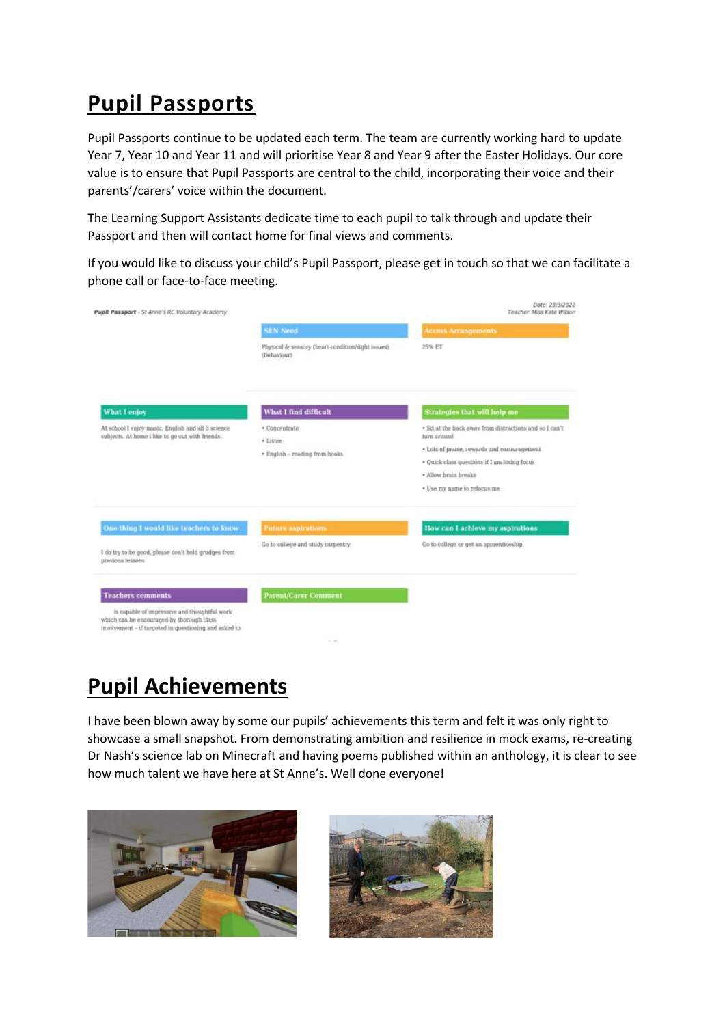# **Pupil Passports**

Pupil Passports continue to be updated each term. The team are currently working hard to update Year 7, Year 10 and Year 11 and will prioritise Year 8 and Year 9 after the Easter Holidays. Our core value is to ensure that Pupil Passports are central to the child, incorporating their voice and their parents'/carers' voice within the document.

The Learning Support Assistants dedicate time to each pupil to talk through and update their Passport and then will contact home for final views and comments.

If you would like to discuss your child's Pupil Passport, please get in touch so that we can facilitate a phone call or face-to-face meeting.

| Pupil Passport - St Anne's RC Voluntary Academy                                                                                                     |                                                                  | Date: 23/3/2022<br>Teacher: Miss Kate Wilson                                                                                                                                                                                  |
|-----------------------------------------------------------------------------------------------------------------------------------------------------|------------------------------------------------------------------|-------------------------------------------------------------------------------------------------------------------------------------------------------------------------------------------------------------------------------|
|                                                                                                                                                     | <b>SEN Need</b>                                                  | <b>Access Arrangements</b>                                                                                                                                                                                                    |
|                                                                                                                                                     | Physical & sensory (heart condition/sight issues)<br>(Behaviour) | 25% ET                                                                                                                                                                                                                        |
| What I enjoy                                                                                                                                        | What I find difficult                                            | Strategies that will help me                                                                                                                                                                                                  |
| At school I enjoy music. English and all 3 science<br>subjects. At home i like to go out with friends.                                              | · Concentrate<br>· Listen<br>· English - reading from books      | · Sit at the back away from distractions and so I can't<br>turn around<br>* Lots of praise, rewards and encouragement<br>· Quick class questions if I am losing focus.<br>· Allow hrain hreaks<br>. Use my name to refocus me |
| One thing I would like teachers to know                                                                                                             | <b>Future</b> aspirations                                        | How can I achieve my aspirations                                                                                                                                                                                              |
| I do try to be good, please don't hold grudges from<br>previous lessons                                                                             | Go to college and study carpentry.                               | Go to college or get an apprenticeship                                                                                                                                                                                        |
| <b>Teachers comments</b>                                                                                                                            | <b>Parent/Carer Comment</b>                                      |                                                                                                                                                                                                                               |
| is capable of impressive and thoughtful work<br>which can be encouraged by thorough class<br>involvement - if targeted in questioning and asked to: | <b>START</b>                                                     |                                                                                                                                                                                                                               |

### **Pupil Achievements**

I have been blown away by some our pupils' achievements this term and felt it was only right to showcase a small snapshot. From demonstrating ambition and resilience in mock exams, re-creating Dr Nash's science lab on Minecraft and having poems published within an anthology, it is clear to see how much talent we have here at St Anne's. Well done everyone!



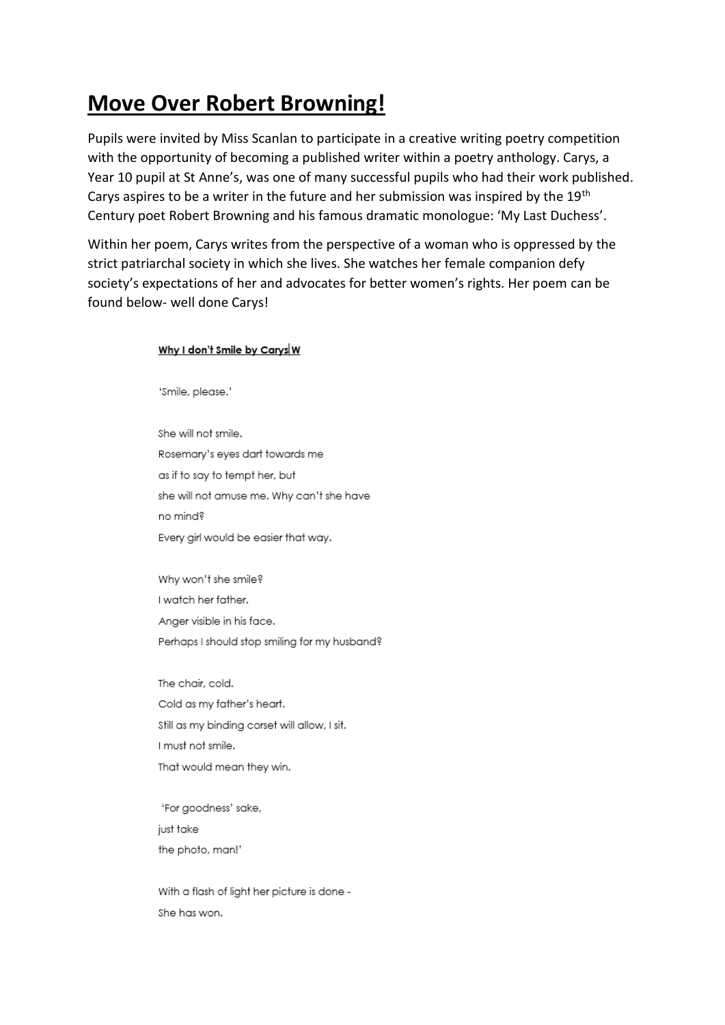# **Move Over Robert Browning!**

Pupils were invited by Miss Scanlan to participate in a creative writing poetry competition with the opportunity of becoming a published writer within a poetry anthology. Carys, a Year 10 pupil at St Anne's, was one of many successful pupils who had their work published. Carys aspires to be a writer in the future and her submission was inspired by the  $19<sup>th</sup>$ Century poet Robert Browning and his famous dramatic monologue: 'My Last Duchess'.

Within her poem, Carys writes from the perspective of a woman who is oppressed by the strict patriarchal society in which she lives. She watches her female companion defy society's expectations of her and advocates for better women's rights. Her poem can be found below- well done Carys!

#### Why I don't Smile by Carys W

'Smile, please.'

She will not smile. Rosemary's eyes dart towards me as if to say to tempt her, but she will not amuse me. Why can't she have no mind? Every girl would be easier that way.

Why won't she smile? I watch her father. Anaer visible in his face. Perhaps I should stop smiling for my husband?

The chair, cold. Cold as my father's heart. Still as my binding corset will allow, I sit. I must not smile. That would mean they win.

'For goodness' sake, just take the photo, man!'

With a flash of light her picture is done -She has won.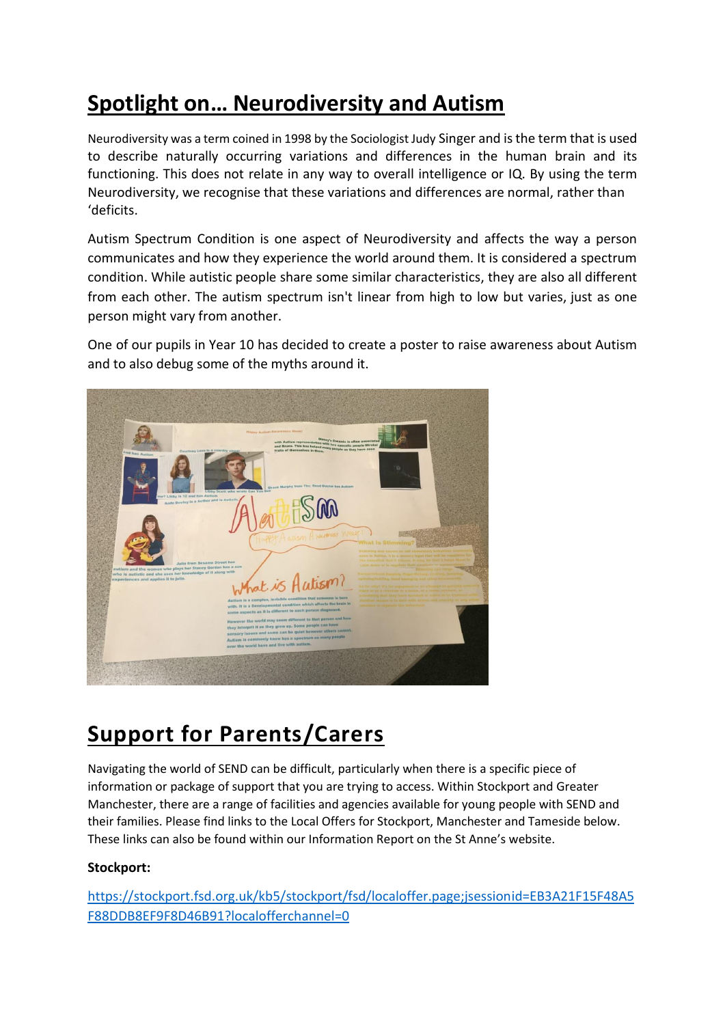# **Spotlight on… Neurodiversity and Autism**

Neurodiversity was a term coined in 1998 by the Sociologist Judy Singer and is the term that is used to describe naturally occurring variations and differences in the human brain and its functioning. This does not relate in any way to overall intelligence or IQ. By using the term Neurodiversity, we recognise that these variations and differences are normal, rather than 'deficits.

Autism Spectrum Condition is one aspect of Neurodiversity and affects the way a person communicates and how they experience the world around them. It is considered a spectrum condition. While autistic people share some similar characteristics, they are also all different from each other. The autism spectrum isn't linear from high to low but varies, just as one person might vary from another.

One of our pupils in Year 10 has decided to create a poster to raise awareness about Autism and to also debug some of the myths around it.



### **Support for Parents/Carers**

Navigating the world of SEND can be difficult, particularly when there is a specific piece of information or package of support that you are trying to access. Within Stockport and Greater Manchester, there are a range of facilities and agencies available for young people with SEND and their families. Please find links to the Local Offers for Stockport, Manchester and Tameside below. These links can also be found within our Information Report on the St Anne's website.

### **Stockport:**

[https://stockport.fsd.org.uk/kb5/stockport/fsd/localoffer.page;jsessionid=EB3A21F15F48A5](https://stockport.fsd.org.uk/kb5/stockport/fsd/localoffer.page;jsessionid=EB3A21F15F48A5F88DDB8EF9F8D46B91?localofferchannel=0) [F88DDB8EF9F8D46B91?localofferchannel=0](https://stockport.fsd.org.uk/kb5/stockport/fsd/localoffer.page;jsessionid=EB3A21F15F48A5F88DDB8EF9F8D46B91?localofferchannel=0)